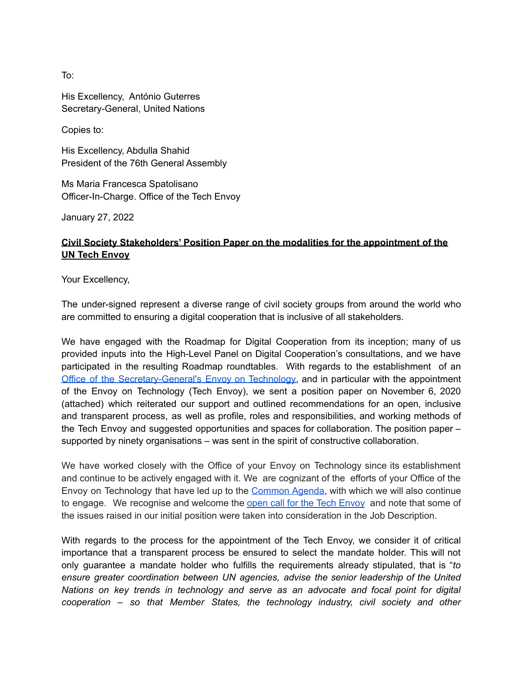To:

His Excellency, António Guterres Secretary-General, United Nations

Copies to:

His Excellency, Abdulla Shahid President of the 76th General Assembly

Ms Maria Francesca Spatolisano Officer-In-Charge. Office of the Tech Envoy

January 27, 2022

#### **Civil Society Stakeholders' Position Paper on the modalities for the appointment of the UN Tech Envoy**

Your Excellency,

The under-signed represent a diverse range of civil society groups from around the world who are committed to ensuring a digital cooperation that is inclusive of all stakeholders.

We have engaged with the Roadmap for Digital Cooperation from its inception; many of us provided inputs into the High-Level Panel on Digital Cooperation's consultations, and we have participated in the resulting Roadmap roundtables. With regards to the establishment of an Office of the [Secretary-General's](https://www.un.org/techenvoy/) Envoy on Technology, and in particular with the appointment of the Envoy on Technology (Tech Envoy), we sent a position paper on November 6, 2020 (attached) which reiterated our support and outlined recommendations for an open, inclusive and transparent process, as well as profile, roles and responsibilities, and working methods of the Tech Envoy and suggested opportunities and spaces for collaboration. The position paper – supported by ninety organisations – was sent in the spirit of constructive collaboration.

We have worked closely with the Office of your Envoy on Technology since its establishment and continue to be actively engaged with it. We are cognizant of the efforts of your Office of the Envoy on Technology that have led up to the [Common](https://www.un.org/en/un75/common-agenda) Agenda, with which we will also continue to engage. We recognise and welcome the open call for the Tech [Envoy](https://www.un.org/sg/en/vacancies/index.shtml) and note that some of the issues raised in our initial position were taken into consideration in the Job Description.

With regards to the process for the appointment of the Tech Envoy, we consider it of critical importance that a transparent process be ensured to select the mandate holder. This will not only guarantee a mandate holder who fulfills the requirements already stipulated, that is "*to ensure greater coordination between UN agencies, advise the senior leadership of the United Nations on key trends in technology and serve as an advocate and focal point for digital cooperation – so that Member States, the technology industry, civil society and other*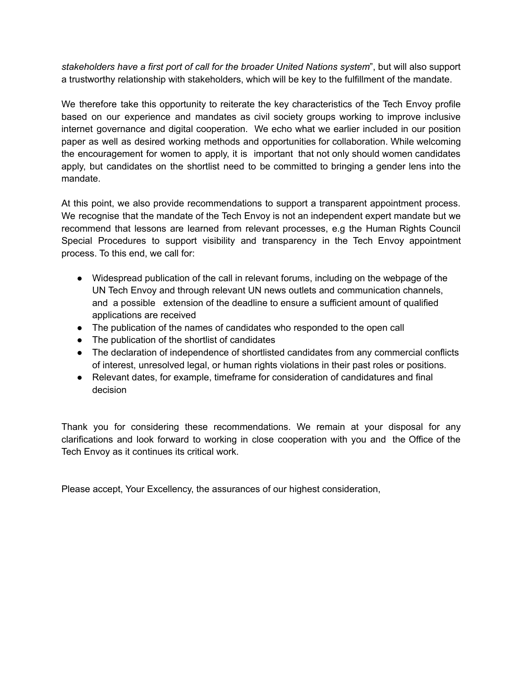*stakeholders have a first port of call for the broader United Nations system*", but will also support a trustworthy relationship with stakeholders, which will be key to the fulfillment of the mandate.

We therefore take this opportunity to reiterate the key characteristics of the Tech Envoy profile based on our experience and mandates as civil society groups working to improve inclusive internet governance and digital cooperation. We echo what we earlier included in our position paper as well as desired working methods and opportunities for collaboration. While welcoming the encouragement for women to apply, it is important that not only should women candidates apply, but candidates on the shortlist need to be committed to bringing a gender lens into the mandate.

At this point, we also provide recommendations to support a transparent appointment process. We recognise that the mandate of the Tech Envoy is not an independent expert mandate but we recommend that lessons are learned from relevant processes, e.g the Human Rights Council Special Procedures to support visibility and transparency in the Tech Envoy appointment process. To this end, we call for:

- Widespread publication of the call in relevant forums, including on the webpage of the UN Tech Envoy and through relevant UN news outlets and communication channels, and a possible extension of the deadline to ensure a sufficient amount of qualified applications are received
- The publication of the names of candidates who responded to the open call
- The publication of the shortlist of candidates
- The declaration of independence of shortlisted candidates from any commercial conflicts of interest, unresolved legal, or human rights violations in their past roles or positions.
- Relevant dates, for example, timeframe for consideration of candidatures and final decision

Thank you for considering these recommendations. We remain at your disposal for any clarifications and look forward to working in close cooperation with you and the Office of the Tech Envoy as it continues its critical work.

Please accept, Your Excellency, the assurances of our highest consideration,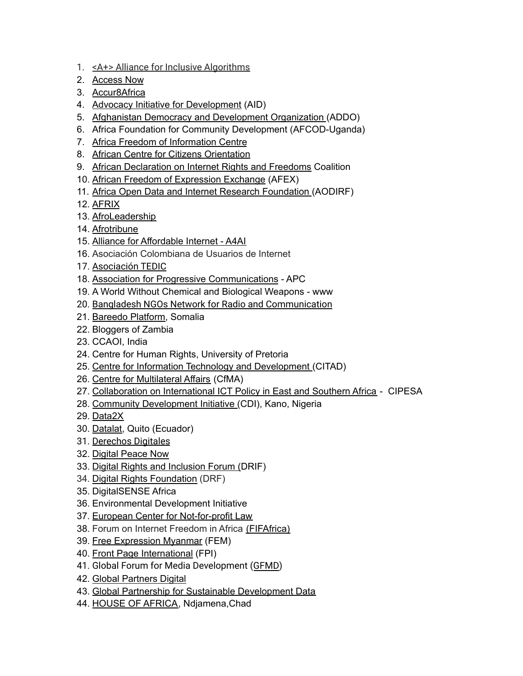- 1. <A+> Alliance for Inclusive [Algorithms](https://aplusalliance.org/)
- 2. [Access](https://www.accessnow.org/) Now
- 3. [Accur8Africa](https://accur8africa.com/)
- 4. Advocacy Initiative for [Development](https://www.aidonline.org/) (AID)
- 5. Afghanistan Democracy and [Development](http://addo.org.af/) Organization (ADDO)
- 6. Africa Foundation for Community Development (AFCOD-Uganda)
- 7. Africa Freedom of [Information](https://africafoicentre.org/) Centre
- 8. African Centre for Citizens [Orientation](http://www.africacore.org/)
- 9. African [Declaration](https://africaninternetrights.org/) on Internet Rights and Freedoms Coalition
- 10. African Freedom of [Expression](https://www.africafex.org/) Exchange (AFEX)
- 11. Africa Open Data and Internet Research [Foundation](http://www.aodirf.org/about.html) (AODIRF)
- 12. [AFRIX](https://afrixci.com/)
- 13. [AfroLeadership](https://afroleadership.org/)
- 14. [Afrotribune](https://afrotribune.com/)
- 15. Alliance for [Affordable](https://a4ai.org/) Internet A4AI
- 16. Asociación Colombiana de Usuarios de Internet
- 17. [Asociación](https://www.tedic.org/) TEDIC
- 18. Association for Progressive [Communications](https://www.apc.org/) APC
- 19. A World Without Chemical and Biological Weapons www
- 20. Bangladesh NGOs Network for Radio and [Communication](https://bnnrc.net/)
- 21. [Bareedo](http://bareedo.org/) Platform, Somalia
- 22. Bloggers of Zambia
- 23. CCAOI, India
- 24. Centre for Human Rights, University of Pretoria
- 25. Centre for Information Technology and [Development](https://www.citad.org/) (CITAD)
- 26. Centre for [Multilateral](https://thecfma.org/) Affairs (CfMA)
- 27. [Collaboration](https://cipesa.org/) on International ICT Policy in East and Southern Africa CIPESA
- 28. Community [Development](http://www.cdionline.org/) Initiative (CDI), Kano, Nigeria
- 29. [Data2X](https://data2x.org/)
- 30. [Datalat,](https://www.datalat.org/) Quito (Ecuador)
- 31. [Derechos](https://www.derechosdigitales.org/) Digitales
- 32. Digital [Peace](https://digitalpeacenow.org/) Now
- 33. Digital Rights and [Inclusion](https://drif.paradigmhq.org/) Forum (DRIF)
- 34. Digital Rights [Foundation](https://digitalrightsfoundation.pk/) (DRF)
- 35. DigitalSENSE Africa
- 36. Environmental Development Initiative
- 37. European Center for [Not-for-profit](https://ecnl.org/) Law
- 38. Forum on Internet Freedom in Africa [\(FIFAfrica\)](https://cipesa.org/fifafrica/)
- 39. Free [Expression](http://freeexpressionmyanmar.org/) Myanmar (FEM)
- 40. Front Page [International](https://frontpageinternational.wordpress.com/) (FPI)
- 41. Global Forum for Media Development ([GFMD\)](https://gfmd.info)
- 42. Global [Partners](https://www.gp-digital.org/) Digital
- 43. Global Partnership for Sustainable [Development](https://www.data4sdgs.org/) Data
- 44. HOUSE OF [AFRICA,](http://houseof.africa/) Ndjamena, Chad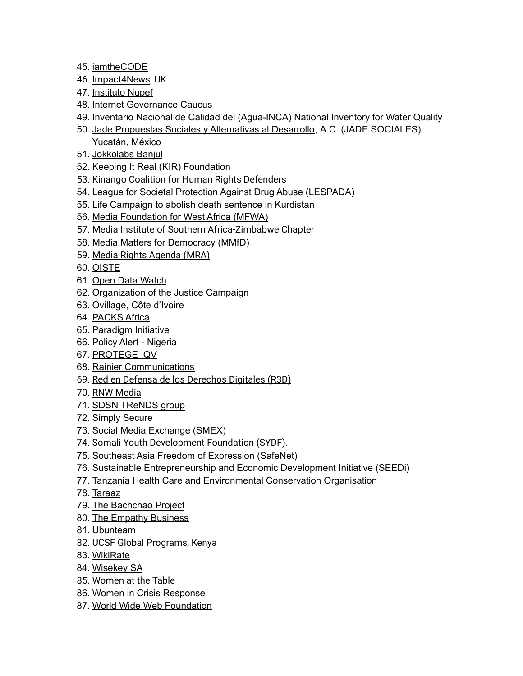- 45. [iamtheCODE](https://www.iamthecode.org/)
- 46. [Impact4News,](https://impactfornews.weebly.com/) UK
- 47. [Instituto](https://nupef.org.br/) Nupef
- 48. Internet [Governance](https://igcaucus.org/) Caucus
- 49. Inventario Nacional de Calidad del (Agua-INCA) National Inventory for Water Quality
- 50. Jade Propuestas Sociales y [Alternativas](https://jadesociales.org/) al Desarrollo, A.C. (JADE SOCIALES), Yucatán, México
- 51. [Jokkolabs](https://www.jokkolabs.net/) Banjul
- 52. Keeping It Real (KIR) Foundation
- 53. Kinango Coalition for Human Rights Defenders
- 54. League for Societal Protection Against Drug Abuse (LESPADA)
- 55. Life Campaign to abolish death sentence in Kurdistan
- 56. Media [Foundation](https://www.mfwa.org/) for West Africa (MFWA)
- 57. Media Institute of Southern Africa-Zimbabwe Chapter
- 58. Media Matters for Democracy (MMfD)
- 59. Media Rights [Agenda](http://www.mediarightsagenda.org/activities.html) (MRA)
- 60. [OISTE](https://oiste.org/)
- 61. Open Data [Watch](https://opendatawatch.com/)
- 62. Organization of the Justice Campaign
- 63. Ovillage, Côte d'Ivoire
- 64. [PACKS](https://www.packs-africa.org/) Africa
- 65. [Paradigm](https://paradigmhq.org/) Initiative
- 66. Policy Alert Nigeria
- 67. [PROTEGE](https://www.protegeqv.org/) QV
- 68. Rainier [Communications](https://www.rainierco.com/)
- 69. Red en Defensa de los [Derechos](https://r3d.mx/) Digitales (R3D)
- 70. RNW [Media](https://www.rnw.org/)
- 71. SDSN [TReNDS](https://www.sdsntrends.org/) group
- 72. Simply [Secure](http://simplysecure.org)
- 73. Social Media Exchange (SMEX)
- 74. Somali Youth Development Foundation (SYDF).
- 75. Southeast Asia Freedom of Expression (SafeNet)
- 76. Sustainable Entrepreneurship and Economic Development Initiative (SEEDi)
- 77. Tanzania Health Care and Environmental Conservation Organisation
- 78. [Taraaz](https://taraazresearch.org/)
- 79. The [Bachchao](http://thebachchaoproject.org/) Project
- 80. The Empathy [Business](http://theempathybusiness.co.uk/)
- 81. Ubunteam
- 82. UCSF Global Programs, Kenya
- 83. [WikiRate](https://wikirate.org/)
- 84. [Wisekey](https://www.wisekey.com) SA
- 85. [Women](https://www.womenatthetable.net/) at the Table
- 86. Women in Crisis Response
- 87. World Wide Web [Foundation](https://webfoundation.org/)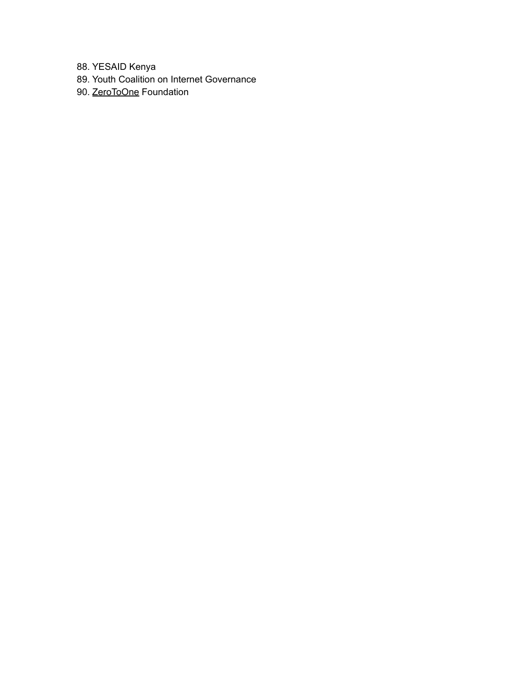88. YESAID Kenya

- 89. Youth Coalition on Internet Governance
- 90. [ZeroToOne](https://the021.org) Foundation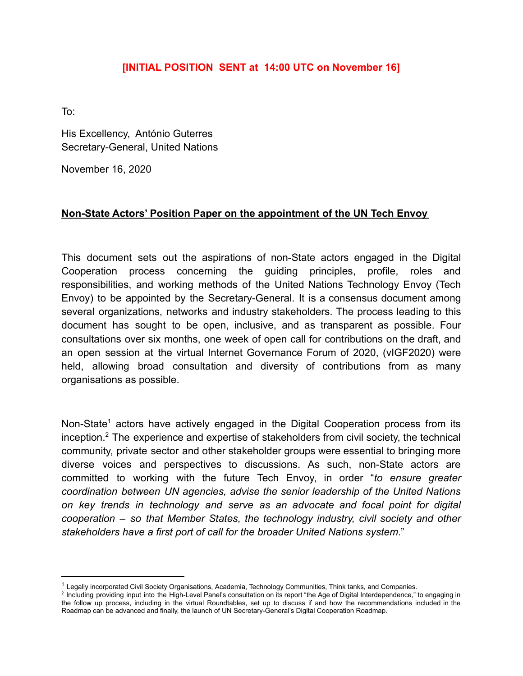#### **[INITIAL POSITION SENT at 14:00 UTC on November 16]**

To:

His Excellency, António Guterres Secretary-General, United Nations

November 16, 2020

#### **Non-State Actors' Position Paper on the appointment of the UN Tech Envoy**

This document sets out the aspirations of non-State actors engaged in the Digital Cooperation process concerning the guiding principles, profile, roles and responsibilities, and working methods of the United Nations Technology Envoy (Tech Envoy) to be appointed by the Secretary-General. It is a consensus document among several organizations, networks and industry stakeholders. The process leading to this document has sought to be open, inclusive, and as transparent as possible. Four consultations over six months, one week of open call for contributions on the draft, and an open session at the virtual Internet Governance Forum of 2020, (vIGF2020) were held, allowing broad consultation and diversity of contributions from as many organisations as possible.

Non-State<sup>1</sup> actors have actively engaged in the Digital Cooperation process from its inception.<sup>2</sup> The experience and expertise of stakeholders from civil society, the technical community, private sector and other stakeholder groups were essential to bringing more diverse voices and perspectives to discussions. As such, non-State actors are committed to working with the future Tech Envoy, in order "*to ensure greater coordination between UN agencies, advise the senior leadership of the United Nations on key trends in technology and serve as an advocate and focal point for digital cooperation – so that Member States, the technology industry, civil society and other stakeholders have a first port of call for the broader United Nations system*."

 $1$  Legally incorporated Civil Society Organisations, Academia, Technology Communities, Think tanks, and Companies.

<sup>&</sup>lt;sup>2</sup> Including providing input into the High-Level Panel's consultation on its report "the Age of Digital Interdependence," to engaging in the follow up process, including in the virtual Roundtables, set up to discuss if and how the recommendations included in the Roadmap can be advanced and finally, the launch of UN Secretary-General's Digital Cooperation Roadmap.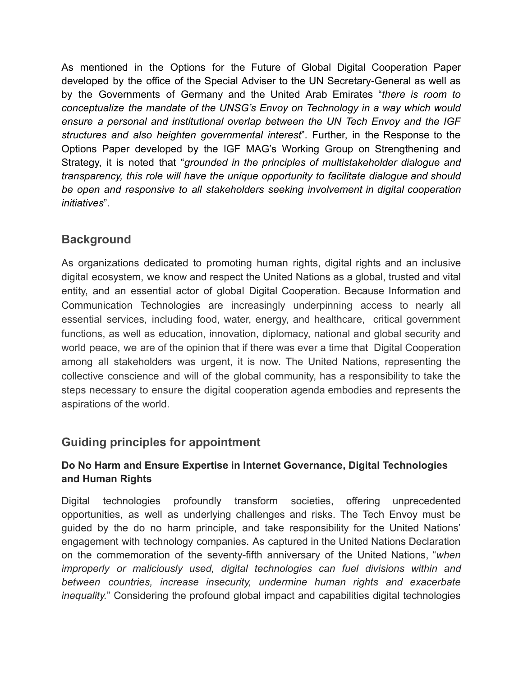As mentioned in the Options for the Future of Global Digital Cooperation Paper developed by the office of the Special Adviser to the UN Secretary-General as well as by the Governments of Germany and the United Arab Emirates "*there is room to conceptualize the mandate of the UNSG's Envoy on Technology in a way which would ensure a personal and institutional overlap between the UN Tech Envoy and the IGF structures and also heighten governmental interest*". Further, in the Response to the Options Paper developed by the IGF MAG's Working Group on Strengthening and Strategy, it is noted that "*grounded in the principles of multistakeholder dialogue and transparency, this role will have the unique opportunity to facilitate dialogue and should be open and responsive to all stakeholders seeking involvement in digital cooperation initiatives*".

# **Background**

As organizations dedicated to promoting human rights, digital rights and an inclusive digital ecosystem, we know and respect the United Nations as a global, trusted and vital entity, and an essential actor of global Digital Cooperation. Because Information and Communication Technologies are increasingly underpinning access to nearly all essential services, including food, water, energy, and healthcare, critical government functions, as well as education, innovation, diplomacy, national and global security and world peace, we are of the opinion that if there was ever a time that Digital Cooperation among all stakeholders was urgent, it is now. The United Nations, representing the collective conscience and will of the global community, has a responsibility to take the steps necessary to ensure the digital cooperation agenda embodies and represents the aspirations of the world.

## **Guiding principles for appointment**

### **Do No Harm and Ensure Expertise in Internet Governance, Digital Technologies and Human Rights**

Digital technologies profoundly transform societies, offering unprecedented opportunities, as well as underlying challenges and risks. The Tech Envoy must be guided by the do no harm principle, and take responsibility for the United Nations' engagement with technology companies. As captured in the United Nations Declaration on the commemoration of the seventy-fifth anniversary of the United Nations, "*when improperly or maliciously used, digital technologies can fuel divisions within and between countries, increase insecurity, undermine human rights and exacerbate inequality.*" Considering the profound global impact and capabilities digital technologies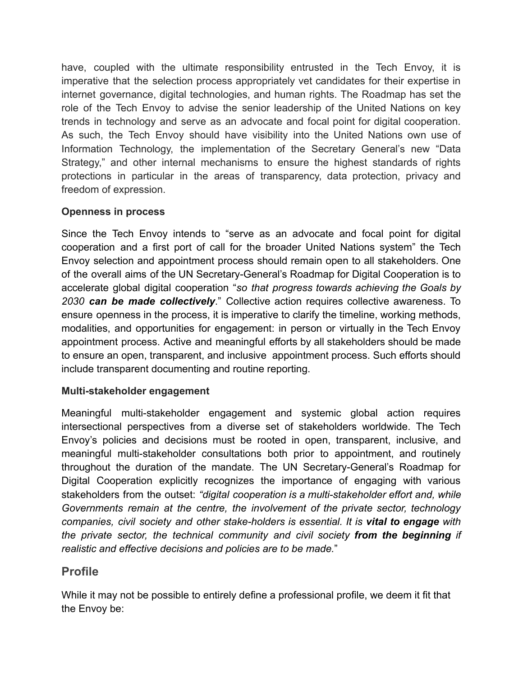have, coupled with the ultimate responsibility entrusted in the Tech Envoy, it is imperative that the selection process appropriately vet candidates for their expertise in internet governance, digital technologies, and human rights. The Roadmap has set the role of the Tech Envoy to advise the senior leadership of the United Nations on key trends in technology and serve as an advocate and focal point for digital cooperation. As such, the Tech Envoy should have visibility into the United Nations own use of Information Technology, the implementation of the Secretary General's new "Data Strategy," and other internal mechanisms to ensure the highest standards of rights protections in particular in the areas of transparency, data protection, privacy and freedom of expression.

### **Openness in process**

Since the Tech Envoy intends to "serve as an advocate and focal point for digital cooperation and a first port of call for the broader United Nations system" the Tech Envoy selection and appointment process should remain open to all stakeholders. One of the overall aims of the UN Secretary-General's Roadmap for Digital Cooperation is to accelerate global digital cooperation "*so that progress towards achieving the Goals by 2030 can be made collectively*." Collective action requires collective awareness. To ensure openness in the process, it is imperative to clarify the timeline, working methods, modalities, and opportunities for engagement: in person or virtually in the Tech Envoy appointment process. Active and meaningful efforts by all stakeholders should be made to ensure an open, transparent, and inclusive appointment process. Such efforts should include transparent documenting and routine reporting.

### **Multi-stakeholder engagement**

Meaningful multi-stakeholder engagement and systemic global action requires intersectional perspectives from a diverse set of stakeholders worldwide. The Tech Envoy's policies and decisions must be rooted in open, transparent, inclusive, and meaningful multi-stakeholder consultations both prior to appointment, and routinely throughout the duration of the mandate. The UN Secretary-General's Roadmap for Digital Cooperation explicitly recognizes the importance of engaging with various stakeholders from the outset: *"digital cooperation is a multi-stakeholder effort and, while Governments remain at the centre, the involvement of the private sector, technology companies, civil society and other stake-holders is essential. It is vital to engage with the private sector, the technical community and civil society from the beginning if realistic and effective decisions and policies are to be made.*"

## **Profile**

While it may not be possible to entirely define a professional profile, we deem it fit that the Envoy be: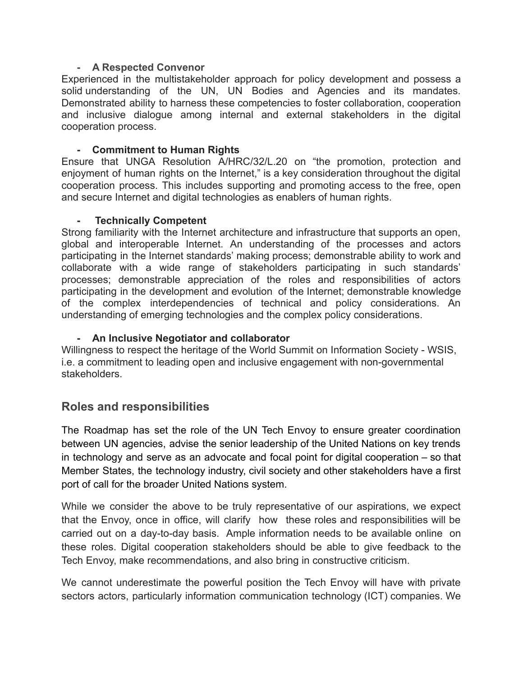#### **- A Respected Convenor**

Experienced in the multistakeholder approach for policy development and possess a solid understanding of the UN, UN Bodies and Agencies and its mandates. Demonstrated ability to harness these competencies to foster collaboration, cooperation and inclusive dialogue among internal and external stakeholders in the digital cooperation process.

#### **- Commitment to Human Rights**

Ensure that UNGA Resolution A/HRC/32/L.20 on "the promotion, protection and enjoyment of human rights on the Internet," is a key consideration throughout the digital cooperation process. This includes supporting and promoting access to the free, open and secure Internet and digital technologies as enablers of human rights.

#### **- Technically Competent**

Strong familiarity with the Internet architecture and infrastructure that supports an open, global and interoperable Internet. An understanding of the processes and actors participating in the Internet standards' making process; demonstrable ability to work and collaborate with a wide range of stakeholders participating in such standards' processes; demonstrable appreciation of the roles and responsibilities of actors participating in the development and evolution of the Internet; demonstrable knowledge of the complex interdependencies of technical and policy considerations. An understanding of emerging technologies and the complex policy considerations.

#### **- An Inclusive Negotiator and collaborator**

Willingness to respect the heritage of the World Summit on Information Society - WSIS, i.e. a commitment to leading open and inclusive engagement with non-governmental stakeholders.

## **Roles and responsibilities**

The Roadmap has set the role of the UN Tech Envoy to ensure greater coordination between UN agencies, advise the senior leadership of the United Nations on key trends in technology and serve as an advocate and focal point for digital cooperation – so that Member States, the technology industry, civil society and other stakeholders have a first port of call for the broader United Nations system.

While we consider the above to be truly representative of our aspirations, we expect that the Envoy, once in office, will clarify how these roles and responsibilities will be carried out on a day-to-day basis. Ample information needs to be available online on these roles. Digital cooperation stakeholders should be able to give feedback to the Tech Envoy, make recommendations, and also bring in constructive criticism.

We cannot underestimate the powerful position the Tech Envoy will have with private sectors actors, particularly information communication technology (ICT) companies. We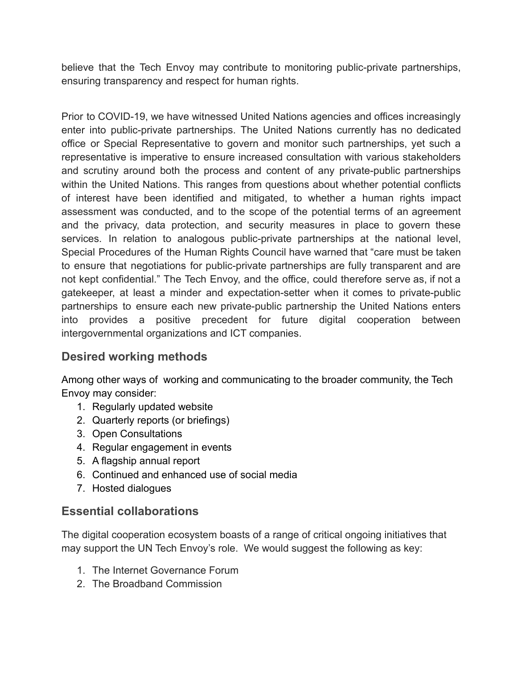believe that the Tech Envoy may contribute to monitoring public-private partnerships, ensuring transparency and respect for human rights.

Prior to COVID-19, we have witnessed United Nations agencies and offices increasingly enter into public-private partnerships. The United Nations currently has no dedicated office or Special Representative to govern and monitor such partnerships, yet such a representative is imperative to ensure increased consultation with various stakeholders and scrutiny around both the process and content of any private-public partnerships within the United Nations. This ranges from questions about whether potential conflicts of interest have been identified and mitigated, to whether a human rights impact assessment was conducted, and to the scope of the potential terms of an agreement and the privacy, data protection, and security measures in place to govern these services. In relation to analogous public-private partnerships at the national level, Special Procedures of the Human Rights Council have warned that "care must be taken to ensure that negotiations for public-private partnerships are fully transparent and are not kept confidential." The Tech Envoy, and the office, could therefore serve as, if not a gatekeeper, at least a minder and expectation-setter when it comes to private-public partnerships to ensure each new private-public partnership the United Nations enters into provides a positive precedent for future digital cooperation between intergovernmental organizations and ICT companies.

# **Desired working methods**

Among other ways of working and communicating to the broader community, the Tech Envoy may consider:

- 1. Regularly updated website
- 2. Quarterly reports (or briefings)
- 3. Open Consultations
- 4. Regular engagement in events
- 5. A flagship annual report
- 6. Continued and enhanced use of social media
- 7. Hosted dialogues

# **Essential collaborations**

The digital cooperation ecosystem boasts of a range of critical ongoing initiatives that may support the UN Tech Envoy's role. We would suggest the following as key:

- 1. The Internet Governance Forum
- 2. The Broadband Commission